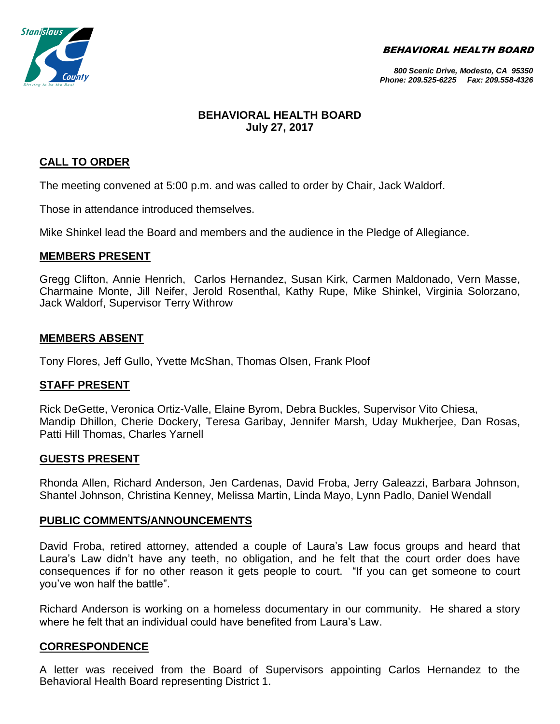BEHAVIORAL HEALTH BOARD



#### *800 Scenic Drive, Modesto, CA 95350 Phone: 209.525-6225 Fax: 209.558-4326*

# **BEHAVIORAL HEALTH BOARD July 27, 2017**

# **CALL TO ORDER**

The meeting convened at 5:00 p.m. and was called to order by Chair, Jack Waldorf.

Those in attendance introduced themselves.

Mike Shinkel lead the Board and members and the audience in the Pledge of Allegiance.

## **MEMBERS PRESENT**

Gregg Clifton, Annie Henrich, Carlos Hernandez, Susan Kirk, Carmen Maldonado, Vern Masse, Charmaine Monte, Jill Neifer, Jerold Rosenthal, Kathy Rupe, Mike Shinkel, Virginia Solorzano, Jack Waldorf, Supervisor Terry Withrow

## **MEMBERS ABSENT**

Tony Flores, Jeff Gullo, Yvette McShan, Thomas Olsen, Frank Ploof

## **STAFF PRESENT**

Rick DeGette, Veronica Ortiz-Valle, Elaine Byrom, Debra Buckles, Supervisor Vito Chiesa, Mandip Dhillon, Cherie Dockery, Teresa Garibay, Jennifer Marsh, Uday Mukherjee, Dan Rosas, Patti Hill Thomas, Charles Yarnell

## **GUESTS PRESENT**

Rhonda Allen, Richard Anderson, Jen Cardenas, David Froba, Jerry Galeazzi, Barbara Johnson, Shantel Johnson, Christina Kenney, Melissa Martin, Linda Mayo, Lynn Padlo, Daniel Wendall

## **PUBLIC COMMENTS/ANNOUNCEMENTS**

David Froba, retired attorney, attended a couple of Laura's Law focus groups and heard that Laura's Law didn't have any teeth, no obligation, and he felt that the court order does have consequences if for no other reason it gets people to court. "If you can get someone to court you've won half the battle".

Richard Anderson is working on a homeless documentary in our community. He shared a story where he felt that an individual could have benefited from Laura's Law.

#### **CORRESPONDENCE**

A letter was received from the Board of Supervisors appointing Carlos Hernandez to the Behavioral Health Board representing District 1.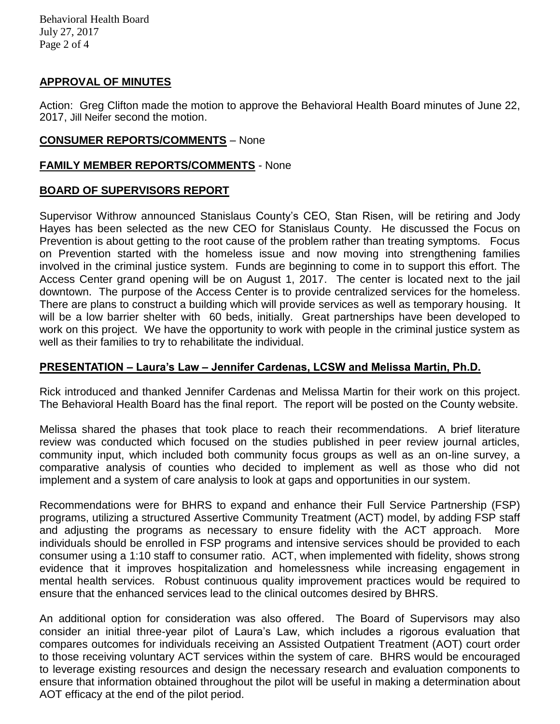Behavioral Health Board July 27, 2017 Page 2 of 4

# **APPROVAL OF MINUTES**

Action: Greg Clifton made the motion to approve the Behavioral Health Board minutes of June 22, 2017, Jill Neifer second the motion.

## **CONSUMER REPORTS/COMMENTS** – None

## **FAMILY MEMBER REPORTS/COMMENTS** - None

## **BOARD OF SUPERVISORS REPORT**

Supervisor Withrow announced Stanislaus County's CEO, Stan Risen, will be retiring and Jody Hayes has been selected as the new CEO for Stanislaus County. He discussed the Focus on Prevention is about getting to the root cause of the problem rather than treating symptoms. Focus on Prevention started with the homeless issue and now moving into strengthening families involved in the criminal justice system. Funds are beginning to come in to support this effort. The Access Center grand opening will be on August 1, 2017. The center is located next to the jail downtown. The purpose of the Access Center is to provide centralized services for the homeless. There are plans to construct a building which will provide services as well as temporary housing. It will be a low barrier shelter with 60 beds, initially. Great partnerships have been developed to work on this project. We have the opportunity to work with people in the criminal justice system as well as their families to try to rehabilitate the individual.

## **PRESENTATION – Laura's Law – Jennifer Cardenas, LCSW and Melissa Martin, Ph.D.**

Rick introduced and thanked Jennifer Cardenas and Melissa Martin for their work on this project. The Behavioral Health Board has the final report. The report will be posted on the County website.

Melissa shared the phases that took place to reach their recommendations. A brief literature review was conducted which focused on the studies published in peer review journal articles, community input, which included both community focus groups as well as an on-line survey, a comparative analysis of counties who decided to implement as well as those who did not implement and a system of care analysis to look at gaps and opportunities in our system.

Recommendations were for BHRS to expand and enhance their Full Service Partnership (FSP) programs, utilizing a structured Assertive Community Treatment (ACT) model, by adding FSP staff and adjusting the programs as necessary to ensure fidelity with the ACT approach. More individuals should be enrolled in FSP programs and intensive services should be provided to each consumer using a 1:10 staff to consumer ratio. ACT, when implemented with fidelity, shows strong evidence that it improves hospitalization and homelessness while increasing engagement in mental health services. Robust continuous quality improvement practices would be required to ensure that the enhanced services lead to the clinical outcomes desired by BHRS.

An additional option for consideration was also offered. The Board of Supervisors may also consider an initial three-year pilot of Laura's Law, which includes a rigorous evaluation that compares outcomes for individuals receiving an Assisted Outpatient Treatment (AOT) court order to those receiving voluntary ACT services within the system of care. BHRS would be encouraged to leverage existing resources and design the necessary research and evaluation components to ensure that information obtained throughout the pilot will be useful in making a determination about AOT efficacy at the end of the pilot period.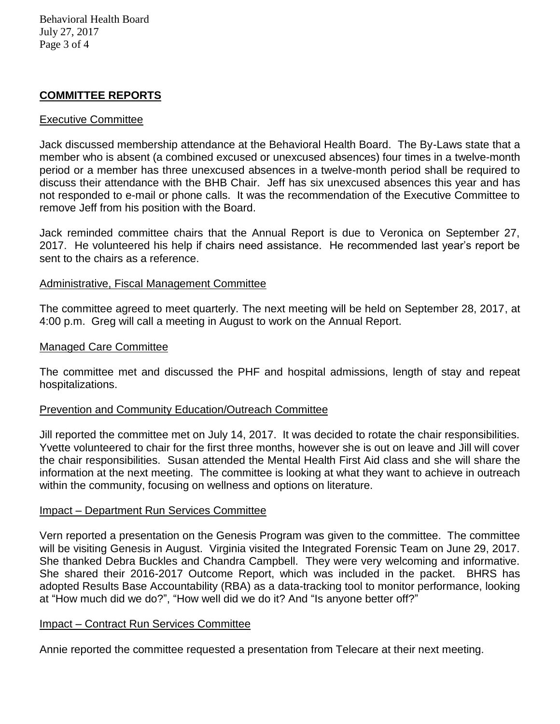# **COMMITTEE REPORTS**

#### Executive Committee

Jack discussed membership attendance at the Behavioral Health Board. The By-Laws state that a member who is absent (a combined excused or unexcused absences) four times in a twelve-month period or a member has three unexcused absences in a twelve-month period shall be required to discuss their attendance with the BHB Chair. Jeff has six unexcused absences this year and has not responded to e-mail or phone calls. It was the recommendation of the Executive Committee to remove Jeff from his position with the Board.

Jack reminded committee chairs that the Annual Report is due to Veronica on September 27, 2017. He volunteered his help if chairs need assistance. He recommended last year's report be sent to the chairs as a reference.

#### Administrative, Fiscal Management Committee

The committee agreed to meet quarterly. The next meeting will be held on September 28, 2017, at 4:00 p.m. Greg will call a meeting in August to work on the Annual Report.

#### Managed Care Committee

The committee met and discussed the PHF and hospital admissions, length of stay and repeat hospitalizations.

#### Prevention and Community Education/Outreach Committee

Jill reported the committee met on July 14, 2017. It was decided to rotate the chair responsibilities. Yvette volunteered to chair for the first three months, however she is out on leave and Jill will cover the chair responsibilities. Susan attended the Mental Health First Aid class and she will share the information at the next meeting. The committee is looking at what they want to achieve in outreach within the community, focusing on wellness and options on literature.

#### Impact – Department Run Services Committee

Vern reported a presentation on the Genesis Program was given to the committee. The committee will be visiting Genesis in August. Virginia visited the Integrated Forensic Team on June 29, 2017. She thanked Debra Buckles and Chandra Campbell. They were very welcoming and informative. She shared their 2016-2017 Outcome Report, which was included in the packet. BHRS has adopted Results Base Accountability (RBA) as a data-tracking tool to monitor performance, looking at "How much did we do?", "How well did we do it? And "Is anyone better off?"

#### Impact – Contract Run Services Committee

Annie reported the committee requested a presentation from Telecare at their next meeting.